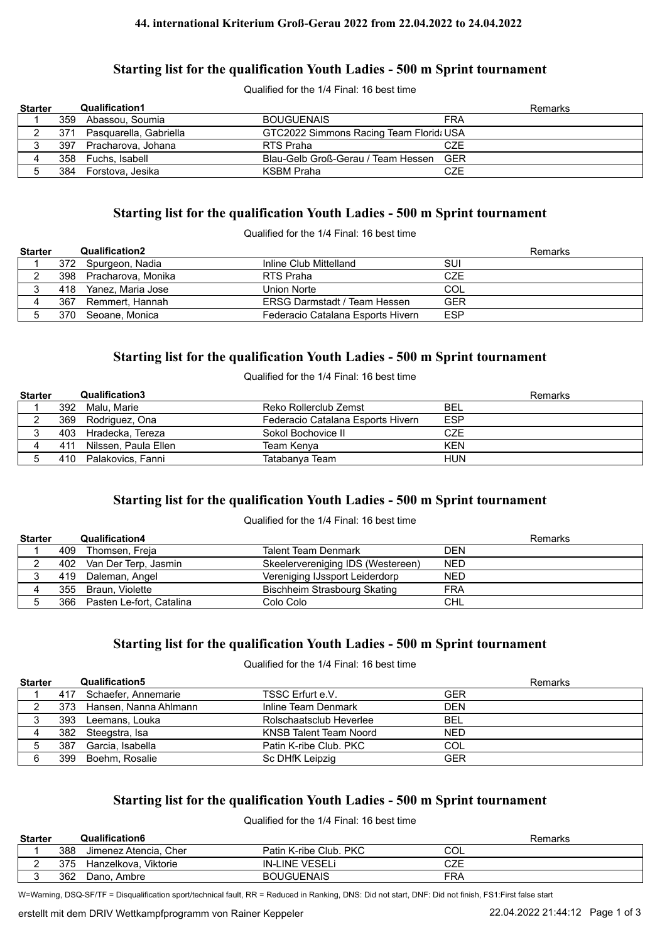#### **44. international Kriterium Groß-Gerau 2022 from 22.04.2022 to 24.04.2022**

#### **Starting list for the qualification Youth Ladies - 500 m Sprint tournament**

Qualified for the 1/4 Final: 16 best time

| <b>Starter</b> |     | <b>Qualification1</b>      |                                         |            | Remarks |
|----------------|-----|----------------------------|-----------------------------------------|------------|---------|
|                |     | 359 Abassou, Soumia        | <b>BOUGUENAIS</b>                       | <b>FRA</b> |         |
|                |     | 371 Pasquarella, Gabriella | GTC2022 Simmons Racing Team Florid: USA |            |         |
|                | 397 | Pracharova, Johana         | RTS Praha                               | CZE        |         |
|                |     | 358 Fuchs, Isabell         | Blau-Gelb Groß-Gerau / Team Hessen GER  |            |         |
|                |     | 384 Forstova, Jesika       | KSBM Praha                              | CZE        |         |

#### **Starting list for the qualification Youth Ladies - 500 m Sprint tournament**

Qualified for the 1/4 Final: 16 best time

| <b>Starter</b> |     | <b>Qualification2</b> |                                     | Remarks    |
|----------------|-----|-----------------------|-------------------------------------|------------|
|                |     | 372 Spurgeon, Nadia   | Inline Club Mittelland              | SUI        |
|                | 398 | Pracharova, Monika    | RTS Praha                           | <b>CZE</b> |
|                |     | 418 Yanez, Maria Jose | Union Norte                         | COL        |
|                | 367 | Remmert. Hannah       | <b>ERSG Darmstadt / Team Hessen</b> | <b>GER</b> |
|                |     | 370 Seoane, Monica    | Federacio Catalana Esports Hivern   | ESP        |

#### **Starting list for the qualification Youth Ladies - 500 m Sprint tournament**

Qualified for the 1/4 Final: 16 best time

| <b>Starter</b> |     | <b>Qualification3</b> |                                   | Remarks    |
|----------------|-----|-----------------------|-----------------------------------|------------|
|                |     | 392 Malu, Marie       | Reko Rollerclub Zemst             | <b>BEL</b> |
|                |     | 369 Rodriguez, Ona    | Federacio Catalana Esports Hivern | <b>ESP</b> |
|                |     | 403 Hradecka, Tereza  | Sokol Bochovice II                | CZE        |
|                | 411 | Nilssen. Paula Ellen  | Team Kenva                        | <b>KFN</b> |
|                |     | 410 Palakovics, Fanni | Tatabanva Team                    | <b>HUN</b> |

# **Starting list for the qualification Youth Ladies - 500 m Sprint tournament**

#### Qualified for the 1/4 Final: 16 best time

| <b>Starter</b> |     | <b>Qualification4</b>        |                                   | Remarks    |
|----------------|-----|------------------------------|-----------------------------------|------------|
|                | 409 | Thomsen, Freja               | <b>Talent Team Denmark</b>        | <b>DEN</b> |
|                |     | 402 Van Der Terp, Jasmin     | Skeelervereniging IDS (Westereen) | <b>NED</b> |
|                |     | 419 Daleman, Angel           | Vereniging IJssport Leiderdorp    | <b>NED</b> |
|                |     | 355 Braun, Violette          | Bischheim Strasbourg Skating      | <b>FRA</b> |
|                |     | 366 Pasten Le-fort, Catalina | Colo Colo                         | CHL        |

# **Starting list for the qualification Youth Ladies - 500 m Sprint tournament**

Qualified for the 1/4 Final: 16 best time

| <b>Starter</b> |     | <b>Qualification5</b>     |                         | Remarks    |  |
|----------------|-----|---------------------------|-------------------------|------------|--|
|                |     | 417 Schaefer, Annemarie   | TSSC Erfurt e.V.        | <b>GER</b> |  |
|                |     | 373 Hansen, Nanna Ahlmann | Inline Team Denmark     | <b>DEN</b> |  |
|                | 393 | Leemans. Louka            | Rolschaatsclub Heverlee | <b>BEL</b> |  |
|                |     | 382 Steegstra, Isa        | KNSB Talent Team Noord  | <b>NED</b> |  |
|                | 387 | Garcia, Isabella          | Patin K-ribe Club, PKC  | COL        |  |
|                | 399 | Boehm. Rosalie            | Sc DHfK Leipzig         | <b>GER</b> |  |

# **Starting list for the qualification Youth Ladies - 500 m Sprint tournament**

Qualified for the 1/4 Final: 16 best time

| <b>Starter</b> |     | <b>Qualification6</b> |                        |            | Remarks |
|----------------|-----|-----------------------|------------------------|------------|---------|
|                | 388 | Jimenez Atencia. Cher | Patin K-ribe Club, PKC | COL        |         |
|                | 375 | Hanzelkova, Viktorie  | <b>IN-LINE VESELI</b>  | CZE        |         |
|                | 362 | Dano, Ambre           | <b>BOUGUENAIS</b>      | <b>FRA</b> |         |

W=Warning, DSQ-SF/TF = Disqualification sport/technical fault, RR = Reduced in Ranking, DNS: Did not start, DNF: Did not finish, FS1:First false start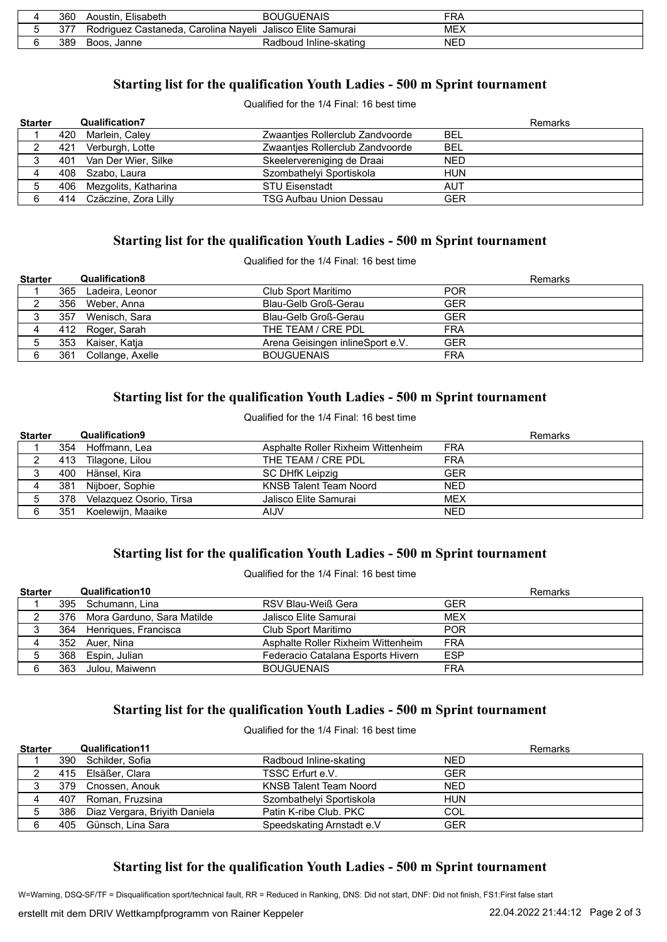| 360 | Elisabeth<br>Aoustin.                        | <b>BOUGUENAIS</b>           | FRA        |
|-----|----------------------------------------------|-----------------------------|------------|
|     | Rodriauez<br>Carolina Naveli<br>. Castaneda. | Jalisco Elite Samurai       | MEX        |
| 389 | Boos.<br>Janne                               | Radboud<br>l Inline-skating | <b>NED</b> |

# **Starting list for the qualification Youth Ladies - 500 m Sprint tournament**

Qualified for the 1/4 Final: 16 best time

| <b>Starter</b> | <b>Qualification7</b>    |                                 | Remarks    |
|----------------|--------------------------|---------------------------------|------------|
|                | 420 Marlein, Caley       | Zwaanties Rollerclub Zandvoorde | <b>BEL</b> |
|                | 421 Verburgh, Lotte      | Zwaanties Rollerclub Zandvoorde | <b>BEL</b> |
|                | 401 Van Der Wier, Silke  | Skeelervereniging de Draai      | <b>NED</b> |
|                | 408 Szabo, Laura         | Szombathelyi Sportiskola        | <b>HUN</b> |
|                | 406 Mezgolits, Katharina | <b>STU Eisenstadt</b>           | AUT        |
| 6              | 414 Czäczine, Zora Lilly | <b>TSG Aufbau Union Dessau</b>  | <b>GER</b> |

## **Starting list for the qualification Youth Ladies - 500 m Sprint tournament**

Qualified for the 1/4 Final: 16 best time

| <b>Starter</b> |     | <b>Qualification8</b> |                                  | Remarks    |
|----------------|-----|-----------------------|----------------------------------|------------|
|                |     | 365 Ladeira, Leonor   | Club Sport Maritimo              | <b>POR</b> |
| ∸              |     | 356 Weber, Anna       | Blau-Gelb Groß-Gerau             | <b>GER</b> |
| 3              | 357 | Wenisch, Sara         | Blau-Gelb Groß-Gerau             | <b>GER</b> |
|                |     | 412 Roger, Sarah      | THE TEAM / CRE PDL               | <b>FRA</b> |
|                |     | 353 Kaiser, Katja     | Arena Geisingen inlineSport e.V. | <b>GER</b> |
|                | 361 | Collange, Axelle      | <b>BOUGUENAIS</b>                | <b>FRA</b> |

## **Starting list for the qualification Youth Ladies - 500 m Sprint tournament**

Qualified for the 1/4 Final: 16 best time

| <b>Starter</b> |     | <b>Qualification9</b>   |                                    | <b>Remarks</b> |
|----------------|-----|-------------------------|------------------------------------|----------------|
|                |     | 354 Hoffmann, Lea       | Asphalte Roller Rixheim Wittenheim | <b>FRA</b>     |
|                |     | 413 Tilagone, Lilou     | THE TEAM / CRE PDL                 | <b>FRA</b>     |
|                | 400 | Hänsel, Kira            | SC DHfK Leipzig                    | GER            |
|                | 381 | Nijboer, Sophie         | KNSB Talent Team Noord             | <b>NED</b>     |
| 5              | 378 | Velazquez Osorio, Tirsa | Jalisco Elite Samurai              | <b>MEX</b>     |
| 6              | 351 | Koelewijn, Maaike       | <b>AIJV</b>                        | <b>NED</b>     |

# **Starting list for the qualification Youth Ladies - 500 m Sprint tournament**

Qualified for the 1/4 Final: 16 best time

| <b>Starter</b> |     | <b>Qualification10</b>         |                                    | Remarks    |
|----------------|-----|--------------------------------|------------------------------------|------------|
|                |     | 395 Schumann, Lina             | RSV Blau-Weiß Gera                 | GER        |
|                |     | 376 Mora Garduno, Sara Matilde | Jalisco Elite Samurai              | <b>MEX</b> |
|                |     | 364 Henriques, Francisca       | Club Sport Maritimo                | <b>POR</b> |
|                |     | 352 Auer, Nina                 | Asphalte Roller Rixheim Wittenheim | <b>FRA</b> |
|                |     | 368 Espin, Julian              | Federacio Catalana Esports Hivern  | <b>ESP</b> |
|                | 363 | Julou. Maiwenn                 | <b>BOUGUENAIS</b>                  | <b>FRA</b> |

# **Starting list for the qualification Youth Ladies - 500 m Sprint tournament**

Qualified for the 1/4 Final: 16 best time

| <b>Starter</b> | <b>Qualification11</b>            |                               | <b>Remarks</b> |
|----------------|-----------------------------------|-------------------------------|----------------|
|                | 390 Schilder, Sofia               | Radboud Inline-skating        | <b>NED</b>     |
|                | 415 Elsäßer, Clara                | TSSC Erfurt e.V.              | <b>GER</b>     |
|                | 379 Cnossen, Anouk                | <b>KNSB Talent Team Noord</b> | <b>NED</b>     |
|                | 407 Roman, Fruzsina               | Szombathelyi Sportiskola      | <b>HUN</b>     |
|                | 386 Diaz Vergara, Briyith Daniela | Patin K-ribe Club, PKC        | COL            |
|                | 405 Günsch, Lina Sara             | Speedskating Arnstadt e.V     | <b>GER</b>     |

# **Starting list for the qualification Youth Ladies - 500 m Sprint tournament**

W=Warning, DSQ-SF/TF = Disqualification sport/technical fault, RR = Reduced in Ranking, DNS: Did not start, DNF: Did not finish, FS1:First false start